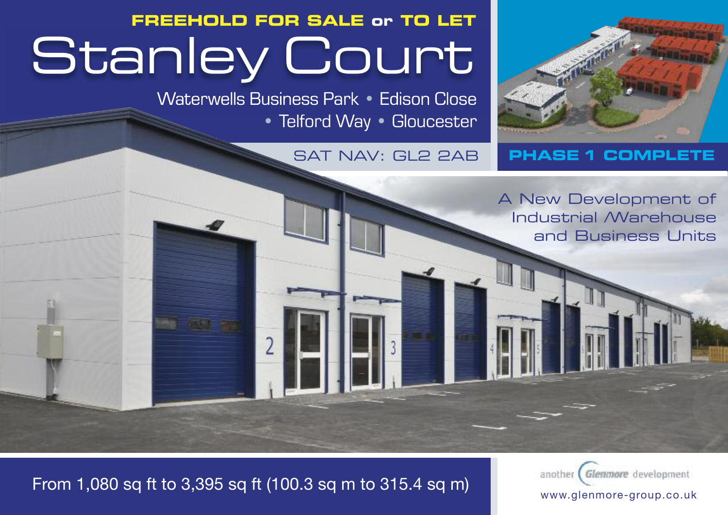# **FREEHOLD FOR SALE or TO LET Stanley Court**

Waterwells Business Park • Edison Close • Telford Way • Gloucester



### **SAT NAV: GL2 2AB PHASE 1 COMPLETE**

**A New Development A New Development of of Industrial / Industrial /Warehouse Warehouse and and Business Units**

**Business Units**

## From 1,080 sq ft to 3,395 sq ft (100.3 sq m to 315.4 sq m)

another Glemmore development www.glenmore-group.co.uk